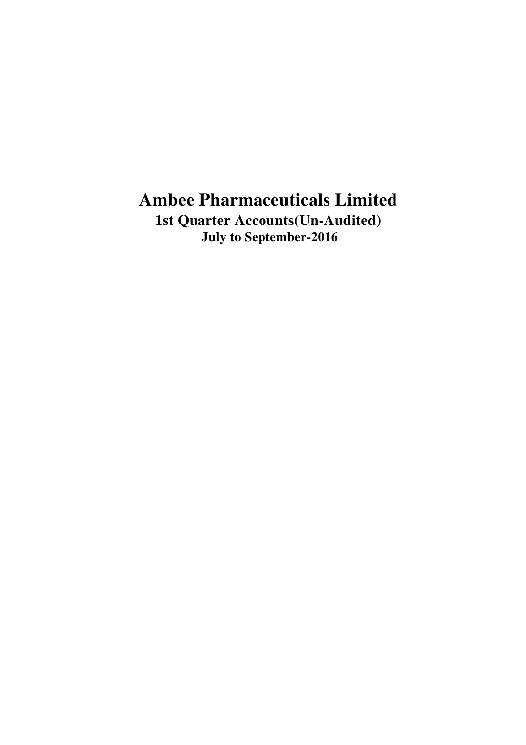**1st Quarter Accounts(Un-Audited) July to September-2016**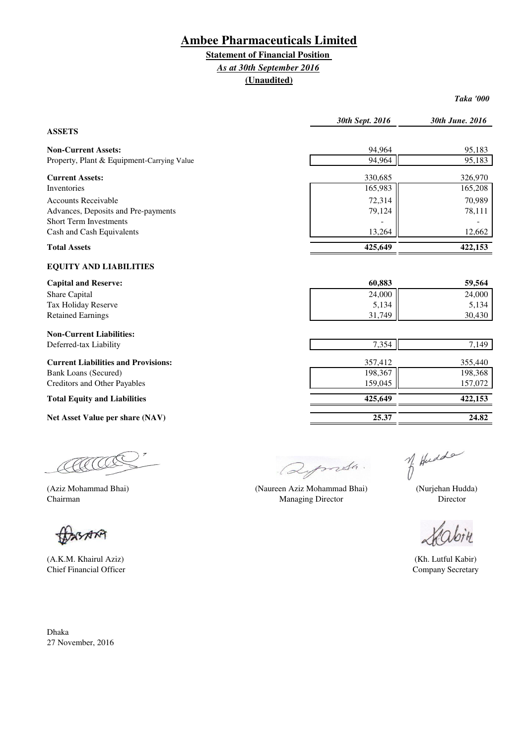## **Statement of Financial Position**

### *As at 30th September 2016*

**(Unaudited)**

*Taka '000*

|                                            | 30th Sept. 2016 | 30th June. 2016 |
|--------------------------------------------|-----------------|-----------------|
| <b>ASSETS</b>                              |                 |                 |
| <b>Non-Current Assets:</b>                 | 94,964          | 95,183          |
| Property, Plant & Equipment-Carrying Value | 94,964          | 95,183          |
| <b>Current Assets:</b>                     | 330,685         | 326,970         |
| Inventories                                | 165,983         | 165,208         |
| <b>Accounts Receivable</b>                 | 72,314          | 70,989          |
| Advances, Deposits and Pre-payments        | 79,124          | 78,111          |
| <b>Short Term Investments</b>              |                 |                 |
| Cash and Cash Equivalents                  | 13,264          | 12,662          |
| <b>Total Assets</b>                        | 425,649         | 422,153         |
| <b>EQUITY AND LIABILITIES</b>              |                 |                 |
| <b>Capital and Reserve:</b>                | 60,883          | 59,564          |
| Share Capital                              | 24,000          | 24,000          |
| Tax Holiday Reserve                        | 5,134           | 5,134           |
| <b>Retained Earnings</b>                   | 31,749          | 30,430          |
| <b>Non-Current Liabilities:</b>            |                 |                 |
| Deferred-tax Liability                     | 7,354           | 7,149           |
| <b>Current Liabilities and Provisions:</b> | 357,412         | 355,440         |
| <b>Bank Loans (Secured)</b>                | 198,367         | 198,368         |
| <b>Creditors and Other Payables</b>        | 159,045         | 157,072         |
| <b>Total Equity and Liabilities</b>        | 425,649         | 422,153         |
| Net Asset Value per share (NAV)            | 25.37           | 24.82           |

COCOO  $\overline{z}$ 

XSARA

(A.K.M. Khairul Aziz) (Kh. Lutful Kabir) Chief Financial Officer

Dhaka 27 November, 2016

Deports.

(Aziz Mohammad Bhai) (Nurjehan Hudda) (Naureen Aziz Mohammad Bhai) Chairman Director **Director** Chairman Director **Director** Director **Director** Director

of Hudde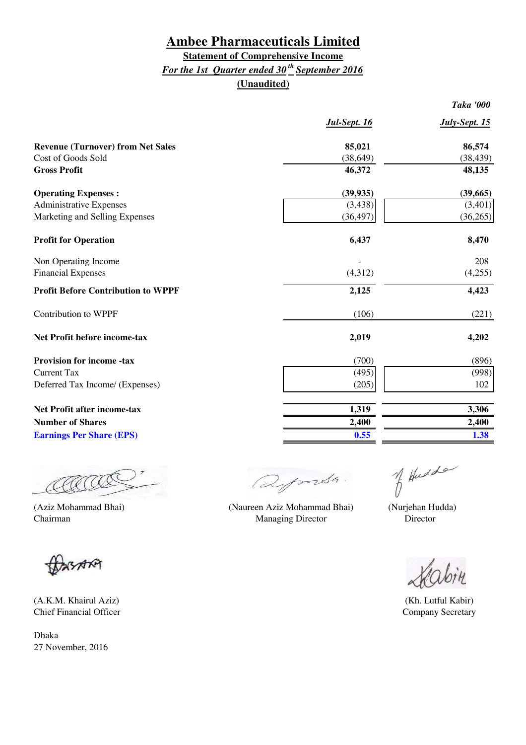### **Statement of Comprehensive Income** *For the 1st Quarter ended 30 th September 2016* **(Unaudited)**

| Jul-Sept. 16 | July-Sept. 15 |
|--------------|---------------|
| 85,021       | 86,574        |
| (38, 649)    | (38, 439)     |
| 46,372       | 48,135        |
| (39, 935)    | (39,665)      |
| (3, 438)     | (3,401)       |
| (36, 497)    | (36,265)      |
| 6,437        | 8,470         |
|              | 208           |
| (4,312)      | (4,255)       |
| 2,125        | 4,423         |
| (106)        | (221)         |
| 2,019        | 4,202         |
| (700)        | (896)         |
| (495)        | (998)         |
| (205)        | 102           |
| 1,319        | 3,306         |
|              | 2,400         |
| 0.55         | 1.38          |
|              | 2,400         |

COCOO

(Aziz Mohammad Bhai) (Nurjehan Hudda) (Naureen Aziz Mohammad Bhai)Chairman Director **Director** Managing Director **Director** 

CASAN

(A.K.M. Khairul Aziz) (Kh. Lutful Kabir) Chief Financial Officer Company Secretary

Dhaka 27 November, 2016

Deports.

of Hudde

*Taka '000*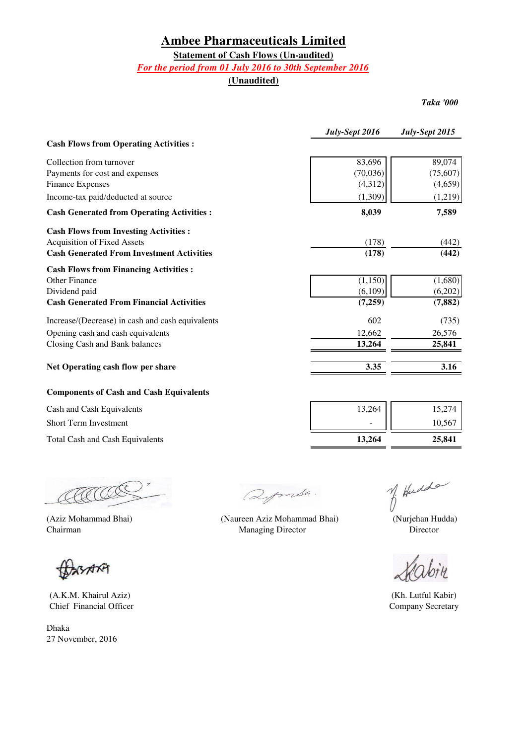### **Statement of Cash Flows (Un-audited)**

#### *For the period from 01 July 2016 to 30th September 2016*

**(Unaudited)**

*Taka '000*

|                                                   | July-Sept 2016 | July-Sept 2015 |
|---------------------------------------------------|----------------|----------------|
| <b>Cash Flows from Operating Activities:</b>      |                |                |
| Collection from turnover                          | 83,696         | 89,074         |
| Payments for cost and expenses                    | (70,036)       | (75,607)       |
| <b>Finance Expenses</b>                           | (4,312)        | (4,659)        |
| Income-tax paid/deducted at source                | (1,309)        | (1,219)        |
| <b>Cash Generated from Operating Activities :</b> | 8,039          | 7,589          |
| <b>Cash Flows from Investing Activities:</b>      |                |                |
| <b>Acquisition of Fixed Assets</b>                | (178)          | (442)          |
| <b>Cash Generated From Investment Activities</b>  | (178)          | (442)          |
| <b>Cash Flows from Financing Activities:</b>      |                |                |
| Other Finance                                     | (1,150)        | (1,680)        |
| Dividend paid                                     | (6,109)        | (6,202)        |
| <b>Cash Generated From Financial Activities</b>   | (7,259)        | (7, 882)       |
| Increase/(Decrease) in cash and cash equivalents  | 602            | (735)          |
| Opening cash and cash equivalents                 | 12,662         | 26,576         |
| Closing Cash and Bank balances                    | 13,264         | 25,841         |
| Net Operating cash flow per share                 | 3.35           | 3.16           |
| <b>Components of Cash and Cash Equivalents</b>    |                |                |
| Cash and Cash Equivalents                         | 13,264         | 15,274         |
| Short Term Investment                             |                | 10,567         |

Total Cash and Cash Equivalents **25,841 13,264** 

FA.

**ASARA** 

(A.K.M. Khairul Aziz) Chief Financial Officer

Dhaka 27 November, 2016

Qymsh.

(Aziz Mohammad Bhai) (Naureen Aziz Mohammad Bhai) Managing Director

of Hudde

 (Nurjehan Hudda) Director

Company Secretary (Kh. Lutful Kabir)